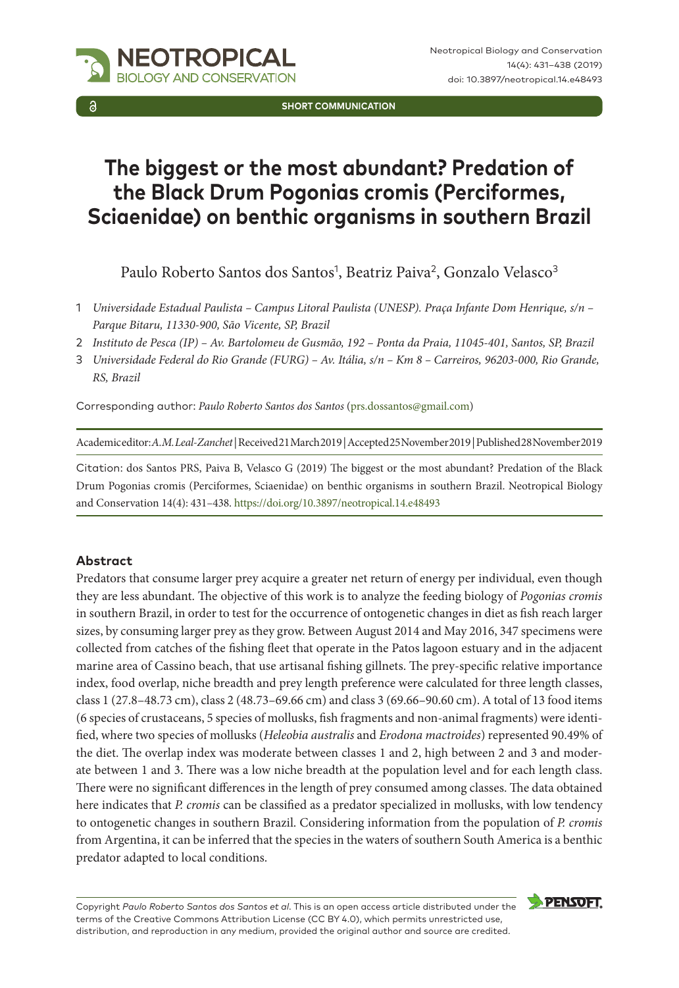

**SHORT COMMUNICATION**

# **The biggest or the most abundant? Predation of the Black Drum Pogonias cromis (Perciformes, Sciaenidae) on benthic organisms in southern Brazil**

Paulo Roberto Santos dos Santos<sup>1</sup>, Beatriz Paiva<sup>2</sup>, Gonzalo Velasco<sup>3</sup>

- 1 *Universidade Estadual Paulista Campus Litoral Paulista (UNESP). Praça Infante Dom Henrique, s/n Parque Bitaru, 11330-900, São Vicente, SP, Brazil*
- 2 *Instituto de Pesca (IP) Av. Bartolomeu de Gusmão, 192 Ponta da Praia, 11045-401, Santos, SP, Brazil*
- 3 *Universidade Federal do Rio Grande (FURG) Av. Itália, s/n Km 8 Carreiros, 96203-000, Rio Grande, RS, Brazil*

Corresponding author: *Paulo Roberto Santos dos Santos* ([prs.dossantos@gmail.com\)](mailto:prs.dossantos@gmail.com)

Academic editor: *A.M. Leal-Zanchet* | Received 21 March 2019 | Accepted 25 November 2019 | Published 28 November 2019

Citation: dos Santos PRS, Paiva B, Velasco G (2019) The biggest or the most abundant? Predation of the Black Drum Pogonias cromis (Perciformes, Sciaenidae) on benthic organisms in southern Brazil. Neotropical Biology and Conservation 14(4): 431–438.<https://doi.org/10.3897/neotropical.14.e48493>

## **Abstract**

Predators that consume larger prey acquire a greater net return of energy per individual, even though they are less abundant. The objective of this work is to analyze the feeding biology of *Pogonias cromis* in southern Brazil, in order to test for the occurrence of ontogenetic changes in diet as fish reach larger sizes, by consuming larger prey as they grow. Between August 2014 and May 2016, 347 specimens were collected from catches of the fishing fleet that operate in the Patos lagoon estuary and in the adjacent marine area of Cassino beach, that use artisanal fishing gillnets. The prey-specific relative importance index, food overlap, niche breadth and prey length preference were calculated for three length classes, class 1 (27.8–48.73 cm), class 2 (48.73–69.66 cm) and class 3 (69.66–90.60 cm). A total of 13 food items (6 species of crustaceans, 5 species of mollusks, fish fragments and non-animal fragments) were identified, where two species of mollusks (*Heleobia australis* and *Erodona mactroides*) represented 90.49% of the diet. The overlap index was moderate between classes 1 and 2, high between 2 and 3 and moderate between 1 and 3. There was a low niche breadth at the population level and for each length class. There were no significant differences in the length of prey consumed among classes. The data obtained here indicates that *P. cromis* can be classified as a predator specialized in mollusks, with low tendency to ontogenetic changes in southern Brazil. Considering information from the population of *P. cromis* from Argentina, it can be inferred that the species in the waters of southern South America is a benthic predator adapted to local conditions.

Copyright *Paulo Roberto Santos dos Santos et al*. This is an open access article distributed under the terms of the [Creative Commons Attribution License \(CC BY 4.0\),](http://creativecommons.org/licenses/by/4.0/) which permits unrestricted use, distribution, and reproduction in any medium, provided the original author and source are credited.

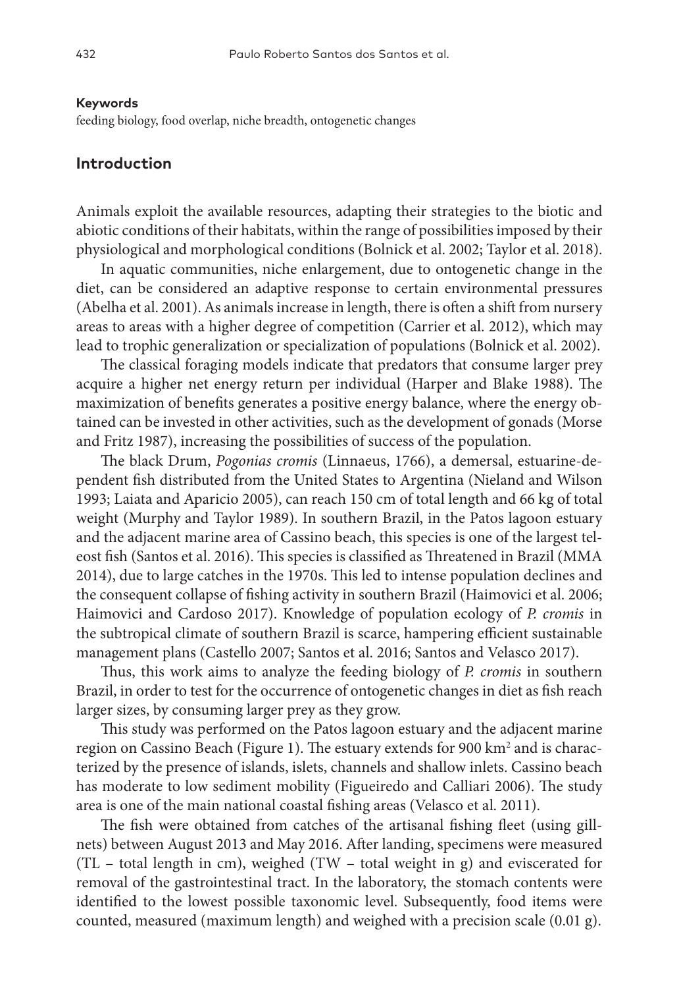#### **Keywords**

feeding biology, food overlap, niche breadth, ontogenetic changes

## **Introduction**

Animals exploit the available resources, adapting their strategies to the biotic and abiotic conditions of their habitats, within the range of possibilities imposed by their physiological and morphological conditions (Bolnick et al. 2002; Taylor et al. 2018).

In aquatic communities, niche enlargement, due to ontogenetic change in the diet, can be considered an adaptive response to certain environmental pressures (Abelha et al. 2001). As animals increase in length, there is often a shift from nursery areas to areas with a higher degree of competition (Carrier et al. 2012), which may lead to trophic generalization or specialization of populations (Bolnick et al. 2002).

The classical foraging models indicate that predators that consume larger prey acquire a higher net energy return per individual (Harper and Blake 1988). The maximization of benefits generates a positive energy balance, where the energy obtained can be invested in other activities, such as the development of gonads (Morse and Fritz 1987), increasing the possibilities of success of the population.

The black Drum, *Pogonias cromis* (Linnaeus, 1766), a demersal, estuarine-dependent fish distributed from the United States to Argentina (Nieland and Wilson 1993; Laiata and Aparicio 2005), can reach 150 cm of total length and 66 kg of total weight (Murphy and Taylor 1989). In southern Brazil, in the Patos lagoon estuary and the adjacent marine area of Cassino beach, this species is one of the largest teleost fish (Santos et al. 2016). This species is classified as Threatened in Brazil (MMA 2014), due to large catches in the 1970s. This led to intense population declines and the consequent collapse of fishing activity in southern Brazil (Haimovici et al. 2006; Haimovici and Cardoso 2017). Knowledge of population ecology of *P. cromis* in the subtropical climate of southern Brazil is scarce, hampering efficient sustainable management plans (Castello 2007; Santos et al. 2016; Santos and Velasco 2017).

Thus, this work aims to analyze the feeding biology of *P. cromis* in southern Brazil, in order to test for the occurrence of ontogenetic changes in diet as fish reach larger sizes, by consuming larger prey as they grow.

This study was performed on the Patos lagoon estuary and the adjacent marine region on Cassino Beach (Figure 1). The estuary extends for 900 km<sup>2</sup> and is characterized by the presence of islands, islets, channels and shallow inlets. Cassino beach has moderate to low sediment mobility (Figueiredo and Calliari 2006). The study area is one of the main national coastal fishing areas (Velasco et al. 2011).

The fish were obtained from catches of the artisanal fishing fleet (using gillnets) between August 2013 and May 2016. After landing, specimens were measured (TL – total length in cm), weighed (TW – total weight in g) and eviscerated for removal of the gastrointestinal tract. In the laboratory, the stomach contents were identified to the lowest possible taxonomic level. Subsequently, food items were counted, measured (maximum length) and weighed with a precision scale (0.01 g).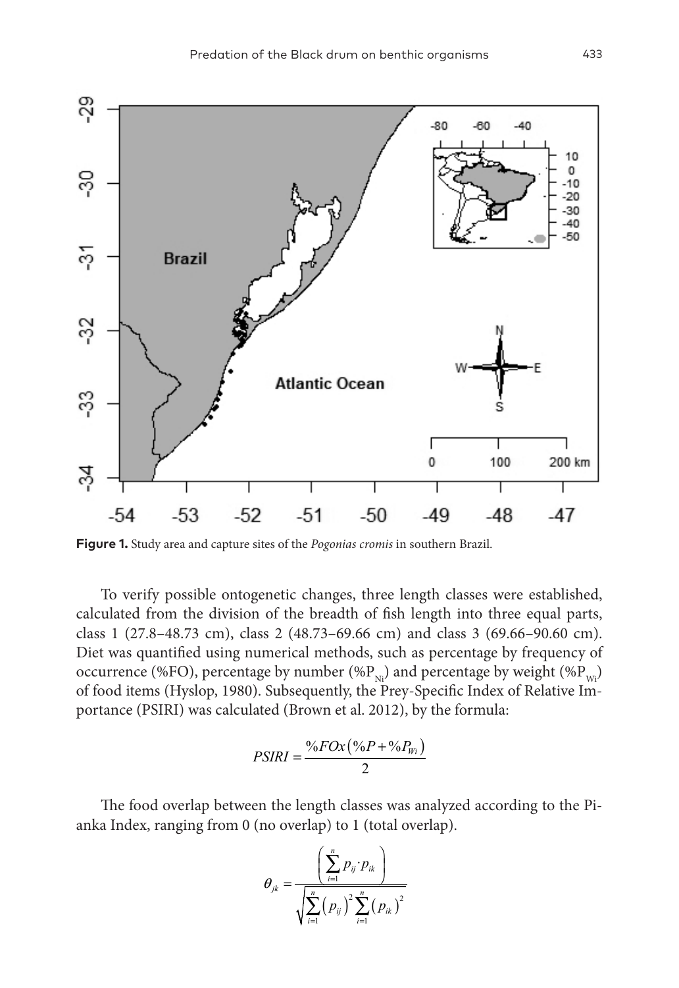

**Figure 1.** Study area and capture sites of the *Pogonias cromis* in southern Brazil.

To verify possible ontogenetic changes, three length classes were established, calculated from the division of the breadth of fish length into three equal parts, class 1 (27.8–48.73 cm), class 2 (48.73–69.66 cm) and class 3 (69.66–90.60 cm). Diet was quantified using numerical methods, such as percentage by frequency of occurrence (%FO), percentage by number (% $P_{Ni}$ ) and percentage by weight (% $P_{Ni}$ ) of food items (Hyslop, 1980). Subsequently, the Prey-Specific Index of Relative Importance (PSIRI) was calculated (Brown et al. 2012), by the formula:

$$
PSIRI = \frac{\%FOx(\%P + \%P_{Wi})}{2}
$$

The food overlap between the length classes was analyzed according to the Pianka Index, ranging from 0 (no overlap) to 1 (total overlap).

$$
\theta_{jk} = \frac{\left(\sum_{i=1}^{n} p_{ij} \cdot p_{ik}\right)}{\sqrt{\sum_{i=1}^{n} (p_{ij})^{2} \sum_{i=1}^{n} (p_{ik})^{2}}}
$$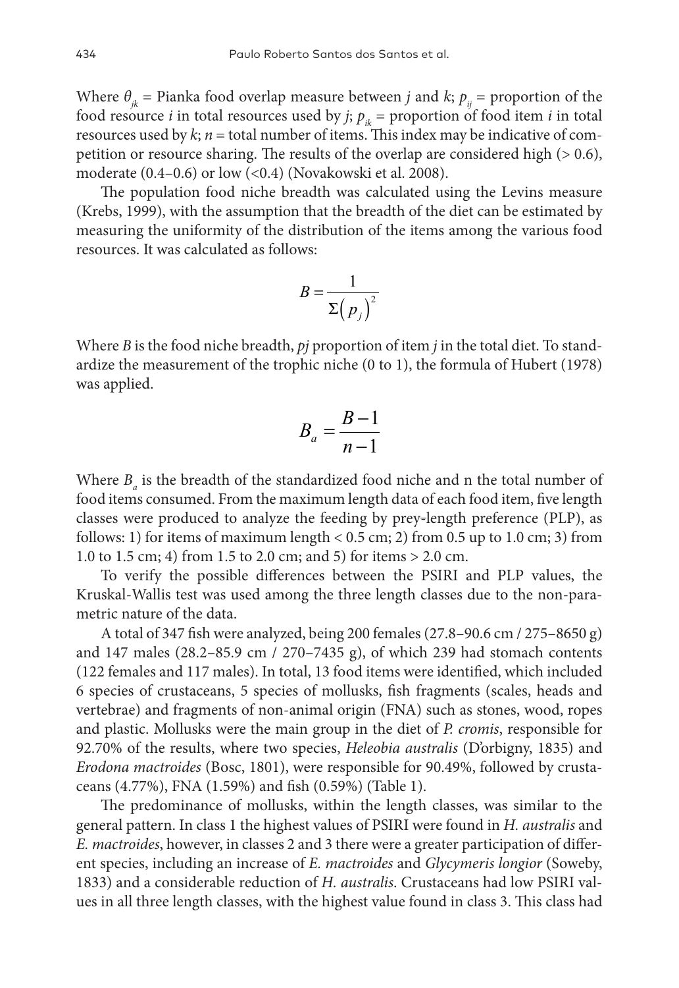Where  $\theta_{\mu}$  = Pianka food overlap measure between *j* and *k*;  $p_{\mu}$  = proportion of the food resource *i* in total resources used by *j*;  $p_{ik}$  = proportion of food item *i* in total resources used by  $k$ ;  $n =$  total number of items. This index may be indicative of competition or resource sharing. The results of the overlap are considered high (> 0.6), moderate (0.4–0.6) or low (<0.4) (Novakowski et al. 2008).

The population food niche breadth was calculated using the Levins measure (Krebs, 1999), with the assumption that the breadth of the diet can be estimated by measuring the uniformity of the distribution of the items among the various food resources. It was calculated as follows:

$$
B = \frac{1}{\Sigma (p_j)^2}
$$

Where *B* is the food niche breadth, *pj* proportion of item *j* in the total diet. To standardize the measurement of the trophic niche (0 to 1), the formula of Hubert (1978) was applied.

$$
B_a = \frac{B-1}{n-1}
$$

Where  $B_a$  is the breadth of the standardized food niche and n the total number of food items consumed. From the maximum length data of each food item, five length classes were produced to analyze the feeding by prey-length preference (PLP), as follows: 1) for items of maximum length  $< 0.5$  cm; 2) from 0.5 up to 1.0 cm; 3) from 1.0 to 1.5 cm; 4) from 1.5 to 2.0 cm; and 5) for items > 2.0 cm.

To verify the possible differences between the PSIRI and PLP values, the Kruskal-Wallis test was used among the three length classes due to the non-parametric nature of the data.

A total of 347 fish were analyzed, being 200 females (27.8–90.6 cm / 275–8650 g) and 147 males (28.2–85.9 cm / 270–7435 g), of which 239 had stomach contents (122 females and 117 males). In total, 13 food items were identified, which included 6 species of crustaceans, 5 species of mollusks, fish fragments (scales, heads and vertebrae) and fragments of non-animal origin (FNA) such as stones, wood, ropes and plastic. Mollusks were the main group in the diet of *P. cromis*, responsible for 92.70% of the results, where two species, *Heleobia australis* (D'orbigny, 1835) and *Erodona mactroides* (Bosc, 1801), were responsible for 90.49%, followed by crustaceans (4.77%), FNA (1.59%) and fish (0.59%) (Table 1).

The predominance of mollusks, within the length classes, was similar to the general pattern. In class 1 the highest values of PSIRI were found in *H. australis* and *E. mactroides*, however, in classes 2 and 3 there were a greater participation of different species, including an increase of *E. mactroides* and *Glycymeris longior* (Soweby, 1833) and a considerable reduction of *H. australis*. Crustaceans had low PSIRI values in all three length classes, with the highest value found in class 3. This class had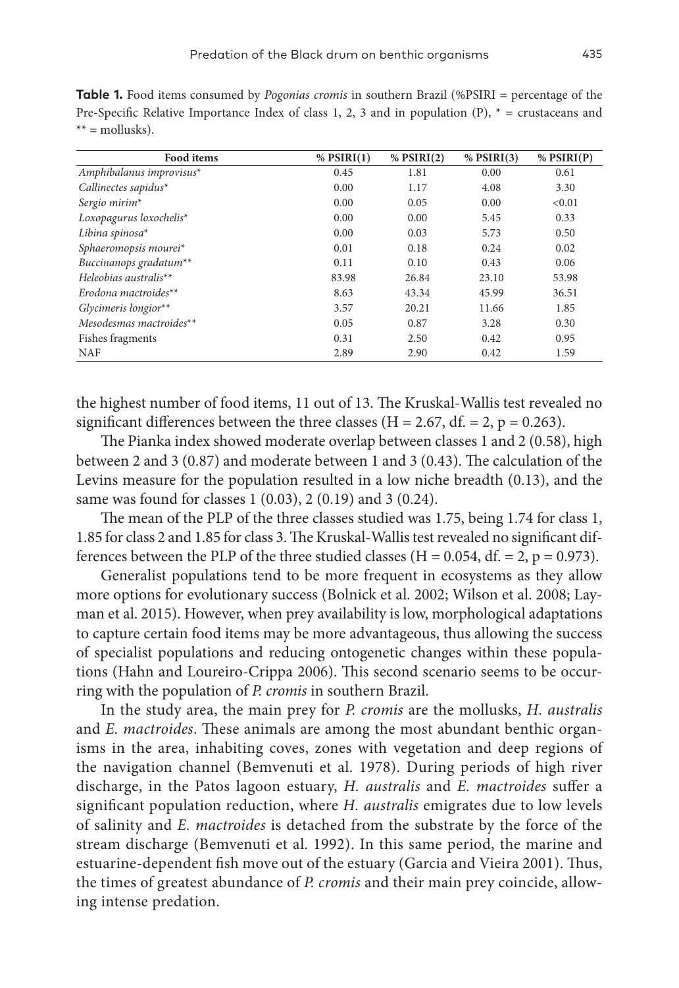**Table 1.** Food items consumed by *Pogonias cromis* in southern Brazil (%PSIRI = percentage of the Pre-Specific Relative Importance Index of class 1, 2, 3 and in population  $(P)$ ,  $* =$  crustaceans and  $** =$  mollusks).

| Food items               | $%$ PSIRI(1) | $%$ PSIRI $(2)$ | $%$ PSIRI $(3)$ | $%$ PSIRI $(P)$ |
|--------------------------|--------------|-----------------|-----------------|-----------------|
| Amphibalanus improvisus* | 0.45         | 1.81            | 0.00            | 0.61            |
| Callinectes sapidus $*$  | 0.00         | 1.17            | 4.08            | 3.30            |
| Sergio mirim*            | 0.00         | 0.05            | 0.00            | < 0.01          |
| Loxopagurus loxochelis*  | 0.00         | 0.00            | 5.45            | 0.33            |
| Libina spinosa $*$       | 0.00         | 0.03            | 5.73            | 0.50            |
| Sphaeromopsis mourei*    | 0.01         | 0.18            | 0.24            | 0.02            |
| Buccinanops gradatum**   | 0.11         | 0.10            | 0.43            | 0.06            |
| Heleobias australis**    | 83.98        | 26.84           | 23.10           | 53.98           |
| Erodona mactroides**     | 8.63         | 43.34           | 45.99           | 36.51           |
| Glycimeris longior**     | 3.57         | 20.21           | 11.66           | 1.85            |
| Mesodesmas mactroides**  | 0.05         | 0.87            | 3.28            | 0.30            |
| Fishes fragments         | 0.31         | 2.50            | 0.42            | 0.95            |
| <b>NAF</b>               | 2.89         | 2.90            | 0.42            | 1.59            |

the highest number of food items, 11 out of 13. The Kruskal-Wallis test revealed no significant differences between the three classes (H = 2.67, df. = 2, p = 0.263).

The Pianka index showed moderate overlap between classes 1 and 2 (0.58), high between 2 and 3 (0.87) and moderate between 1 and 3 (0.43). The calculation of the Levins measure for the population resulted in a low niche breadth (0.13), and the same was found for classes 1 (0.03), 2 (0.19) and 3 (0.24).

The mean of the PLP of the three classes studied was 1.75, being 1.74 for class 1, 1.85 for class 2 and 1.85 for class 3. The Kruskal-Wallis test revealed no significant differences between the PLP of the three studied classes ( $H = 0.054$ , df. = 2, p = 0.973).

Generalist populations tend to be more frequent in ecosystems as they allow more options for evolutionary success (Bolnick et al. 2002; Wilson et al. 2008; Layman et al. 2015). However, when prey availability is low, morphological adaptations to capture certain food items may be more advantageous, thus allowing the success of specialist populations and reducing ontogenetic changes within these populations (Hahn and Loureiro-Crippa 2006). This second scenario seems to be occurring with the population of *P. cromis* in southern Brazil.

In the study area, the main prey for *P. cromis* are the mollusks, *H. australis* and *E. mactroides*. These animals are among the most abundant benthic organisms in the area, inhabiting coves, zones with vegetation and deep regions of the navigation channel (Bemvenuti et al. 1978). During periods of high river discharge, in the Patos lagoon estuary, *H. australis* and *E. mactroides* suffer a significant population reduction, where *H. australis* emigrates due to low levels of salinity and *E. mactroides* is detached from the substrate by the force of the stream discharge (Bemvenuti et al. 1992). In this same period, the marine and estuarine-dependent fish move out of the estuary (Garcia and Vieira 2001). Thus, the times of greatest abundance of *P. cromis* and their main prey coincide, allowing intense predation.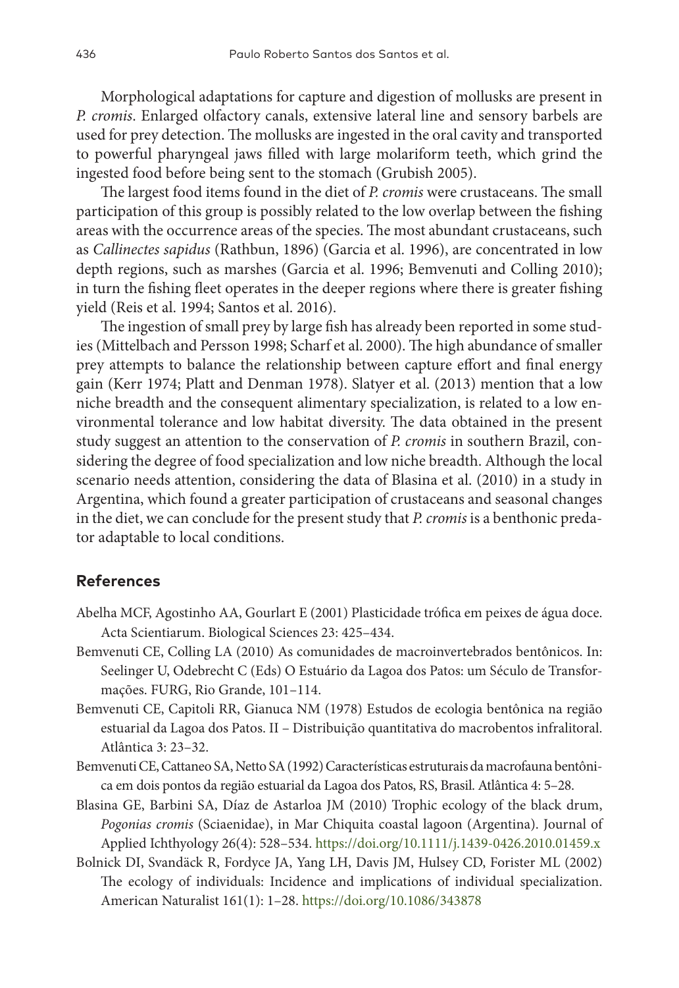Morphological adaptations for capture and digestion of mollusks are present in *P. cromis*. Enlarged olfactory canals, extensive lateral line and sensory barbels are used for prey detection. The mollusks are ingested in the oral cavity and transported to powerful pharyngeal jaws filled with large molariform teeth, which grind the ingested food before being sent to the stomach (Grubish 2005).

The largest food items found in the diet of *P. cromis* were crustaceans. The small participation of this group is possibly related to the low overlap between the fishing areas with the occurrence areas of the species. The most abundant crustaceans, such as *Callinectes sapidus* (Rathbun, 1896) (Garcia et al. 1996), are concentrated in low depth regions, such as marshes (Garcia et al. 1996; Bemvenuti and Colling 2010); in turn the fishing fleet operates in the deeper regions where there is greater fishing yield (Reis et al. 1994; Santos et al. 2016).

The ingestion of small prey by large fish has already been reported in some studies (Mittelbach and Persson 1998; Scharf et al. 2000). The high abundance of smaller prey attempts to balance the relationship between capture effort and final energy gain (Kerr 1974; Platt and Denman 1978). Slatyer et al. (2013) mention that a low niche breadth and the consequent alimentary specialization, is related to a low environmental tolerance and low habitat diversity. The data obtained in the present study suggest an attention to the conservation of *P. cromis* in southern Brazil, considering the degree of food specialization and low niche breadth. Although the local scenario needs attention, considering the data of Blasina et al. (2010) in a study in Argentina, which found a greater participation of crustaceans and seasonal changes in the diet, we can conclude for the present study that *P. cromis* is a benthonic predator adaptable to local conditions.

## **References**

- Abelha MCF, Agostinho AA, Gourlart E (2001) Plasticidade trófica em peixes de água doce. Acta Scientiarum. Biological Sciences 23: 425–434.
- Bemvenuti CE, Colling LA (2010) As comunidades de macroinvertebrados bentônicos. In: Seelinger U, Odebrecht C (Eds) O Estuário da Lagoa dos Patos: um Século de Transformações. FURG, Rio Grande, 101–114.
- Bemvenuti CE, Capitoli RR, Gianuca NM (1978) Estudos de ecologia bentônica na região estuarial da Lagoa dos Patos. II – Distribuição quantitativa do macrobentos infralitoral. Atlântica 3: 23–32.
- Bemvenuti CE, Cattaneo SA, Netto SA (1992) Características estruturais da macrofauna bentônica em dois pontos da região estuarial da Lagoa dos Patos, RS, Brasil. Atlântica 4: 5–28.
- Blasina GE, Barbini SA, Díaz de Astarloa JM (2010) Trophic ecology of the black drum, *Pogonias cromis* (Sciaenidae), in Mar Chiquita coastal lagoon (Argentina). Journal of Applied Ichthyology 26(4): 528–534.<https://doi.org/10.1111/j.1439-0426.2010.01459.x>
- Bolnick DI, Svandäck R, Fordyce JA, Yang LH, Davis JM, Hulsey CD, Forister ML (2002) The ecology of individuals: Incidence and implications of individual specialization. American Naturalist 161(1): 1–28.<https://doi.org/10.1086/343878>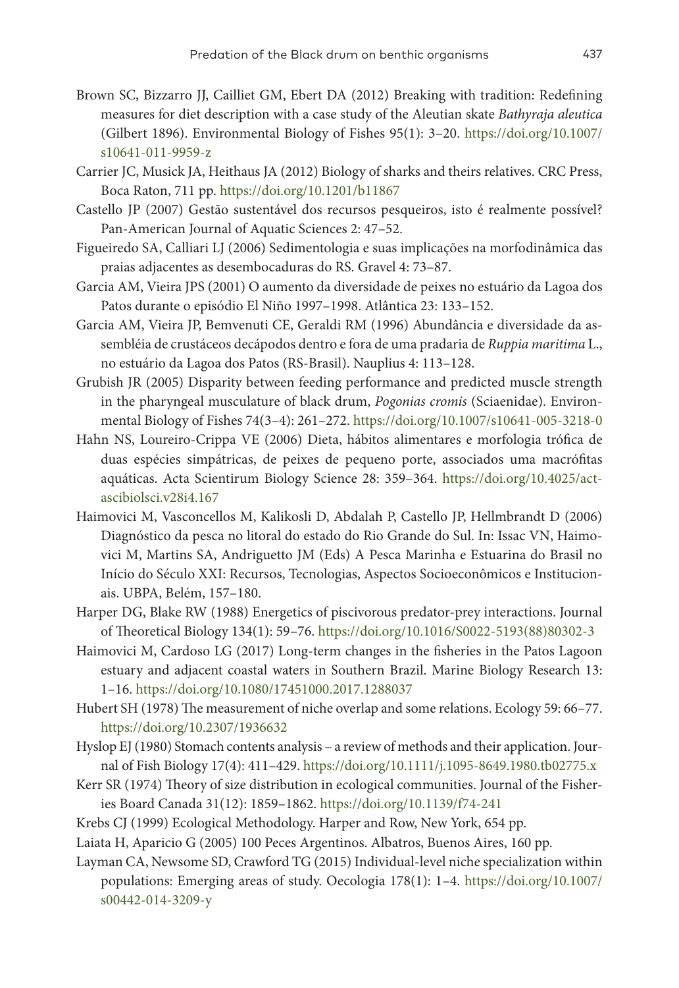- Brown SC, Bizzarro JJ, Cailliet GM, Ebert DA (2012) Breaking with tradition: Redefining measures for diet description with a case study of the Aleutian skate *Bathyraja aleutica* (Gilbert 1896). Environmental Biology of Fishes 95(1): 3–20. [https://doi.org/10.1007/](https://doi.org/10.1007/s10641-011-9959-z) [s10641-011-9959-z](https://doi.org/10.1007/s10641-011-9959-z)
- Carrier JC, Musick JA, Heithaus JA (2012) Biology of sharks and theirs relatives. CRC Press, Boca Raton, 711 pp. <https://doi.org/10.1201/b11867>
- Castello JP (2007) Gestão sustentável dos recursos pesqueiros, isto é realmente possível? Pan-American Journal of Aquatic Sciences 2: 47–52.
- Figueiredo SA, Calliari LJ (2006) Sedimentologia e suas implicações na morfodinâmica das praias adjacentes as desembocaduras do RS. Gravel 4: 73–87.
- Garcia AM, Vieira JPS (2001) O aumento da diversidade de peixes no estuário da Lagoa dos Patos durante o episódio El Niño 1997–1998. Atlântica 23: 133–152.
- Garcia AM, Vieira JP, Bemvenuti CE, Geraldi RM (1996) Abundância e diversidade da assembléia de crustáceos decápodos dentro e fora de uma pradaria de *Ruppia maritima* L., no estuário da Lagoa dos Patos (RS-Brasil). Nauplius 4: 113–128.
- Grubish JR (2005) Disparity between feeding performance and predicted muscle strength in the pharyngeal musculature of black drum, *Pogonias cromis* (Sciaenidae). Environmental Biology of Fishes 74(3–4): 261–272. <https://doi.org/10.1007/s10641-005-3218-0>
- Hahn NS, Loureiro-Crippa VE (2006) Dieta, hábitos alimentares e morfologia trófica de duas espécies simpátricas, de peixes de pequeno porte, associados uma macrófitas aquáticas. Acta Scientirum Biology Science 28: 359–364. [https://doi.org/10.4025/act](https://doi.org/10.4025/actascibiolsci.v28i4.167)[ascibiolsci.v28i4.167](https://doi.org/10.4025/actascibiolsci.v28i4.167)
- Haimovici M, Vasconcellos M, Kalikosli D, Abdalah P, Castello JP, Hellmbrandt D (2006) Diagnóstico da pesca no litoral do estado do Rio Grande do Sul. In: Issac VN, Haimovici M, Martins SA, Andriguetto JM (Eds) A Pesca Marinha e Estuarina do Brasil no Início do Século XXI: Recursos, Tecnologias, Aspectos Socioeconômicos e Institucionais. UBPA, Belém, 157–180.
- Harper DG, Blake RW (1988) Energetics of piscivorous predator-prey interactions. Journal of Theoretical Biology 134(1): 59–76. [https://doi.org/10.1016/S0022-5193\(88\)80302-3](https://doi.org/10.1016/S0022-5193(88)80302-3)
- Haimovici M, Cardoso LG (2017) Long-term changes in the fisheries in the Patos Lagoon estuary and adjacent coastal waters in Southern Brazil. Marine Biology Research 13: 1–16. <https://doi.org/10.1080/17451000.2017.1288037>
- Hubert SH (1978) The measurement of niche overlap and some relations. Ecology 59: 66–77. <https://doi.org/10.2307/1936632>
- Hyslop EJ (1980) Stomach contents analysis a review of methods and their application. Journal of Fish Biology 17(4): 411–429.<https://doi.org/10.1111/j.1095-8649.1980.tb02775.x>
- Kerr SR (1974) Theory of size distribution in ecological communities. Journal of the Fisheries Board Canada 31(12): 1859–1862. <https://doi.org/10.1139/f74-241>
- Krebs CJ (1999) Ecological Methodology. Harper and Row, New York, 654 pp.
- Laiata H, Aparicio G (2005) 100 Peces Argentinos. Albatros, Buenos Aires, 160 pp.
- Layman CA, Newsome SD, Crawford TG (2015) Individual-level niche specialization within populations: Emerging areas of study. Oecologia 178(1): 1–4. [https://doi.org/10.1007/](https://doi.org/10.1007/s00442-014-3209-y) [s00442-014-3209-y](https://doi.org/10.1007/s00442-014-3209-y)